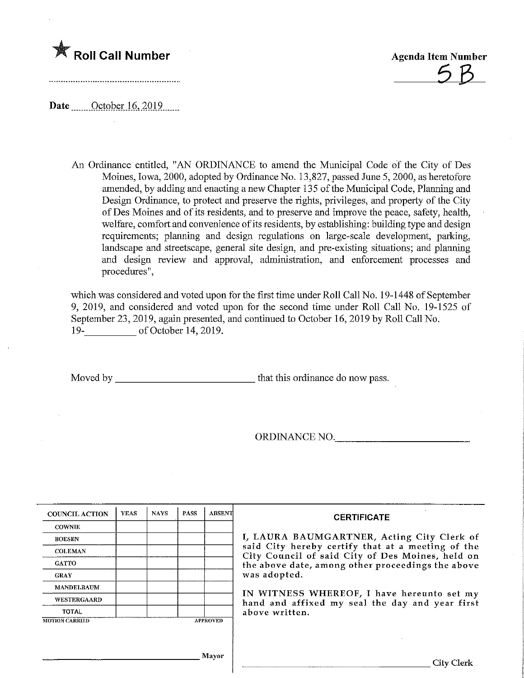

Date ........October .16,201.9

An Ordinance entitled, "AN ORDINANCE to amend the Municipal Code of the City of Des Moines, Iowa, 2000, adopted by Ordinance No. 13,827, passed June 5, 2000, as heretofore amended, by adding and enacting a new Chapter 135 of the Municipal Code, Planning and Design Ordinance, to protect and preserve the rights, privileges, and property of the City ofDes Moines and of its residents, and to preserve and improve the peace, safety, health, welfare, comfort and convenience of its residents, by establishing: building type and design requirements; planning and design regulations on large-scale development, parking, landscape and streetscape, general site design, and pre-existing situations; and planning and design review and approval, administration, and enforcement processes and procedures",

which was considered and voted upon for the first time under Roll Call No. 19-1448 of September 9, 2019, and considered and voted upon for the second time under Roll Call No. 19-1525 of September 23, 2019, again presented, and continued to October 16, 2019 by Roll Call No. 19- of October 14, 2019.

Moved by that this ordinance do now pass.

ORDINANCE NO.

| <b>COUNCIL ACTION</b> | <b>YEAS</b> | <b>NAYS</b> | <b>PASS</b> | <b>ABSENT</b>   | <b>CERTIFICATE</b>                                                                                              |  |  |  |
|-----------------------|-------------|-------------|-------------|-----------------|-----------------------------------------------------------------------------------------------------------------|--|--|--|
| <b>COWNIE</b>         |             |             |             |                 |                                                                                                                 |  |  |  |
| <b>BOESEN</b>         |             |             |             |                 | I, LAURA BAUMGARTNER, Acting City Clerk of                                                                      |  |  |  |
| <b>COLEMAN</b>        |             |             |             |                 | said City hereby certify that at a meeting of the<br>City Council of said City of Des Moines, held on           |  |  |  |
| <b>GATTO</b>          |             |             |             |                 | the above date, among other proceedings the above                                                               |  |  |  |
| <b>GRAY</b>           |             |             |             |                 | was adopted.                                                                                                    |  |  |  |
| <b>MANDELBAUM</b>     |             |             |             |                 |                                                                                                                 |  |  |  |
| <b>WESTERGAARD</b>    |             |             |             |                 | IN WITNESS WHEREOF, I have hereunto set my<br>hand and affixed my seal the day and year first<br>above written. |  |  |  |
| <b>TOTAL</b>          |             |             |             |                 |                                                                                                                 |  |  |  |
| <b>MOTION CARRIED</b> |             |             |             | <b>APPROVED</b> |                                                                                                                 |  |  |  |
|                       |             |             |             |                 |                                                                                                                 |  |  |  |
|                       |             |             |             |                 |                                                                                                                 |  |  |  |
|                       |             |             |             | Mayor           | City Clerk                                                                                                      |  |  |  |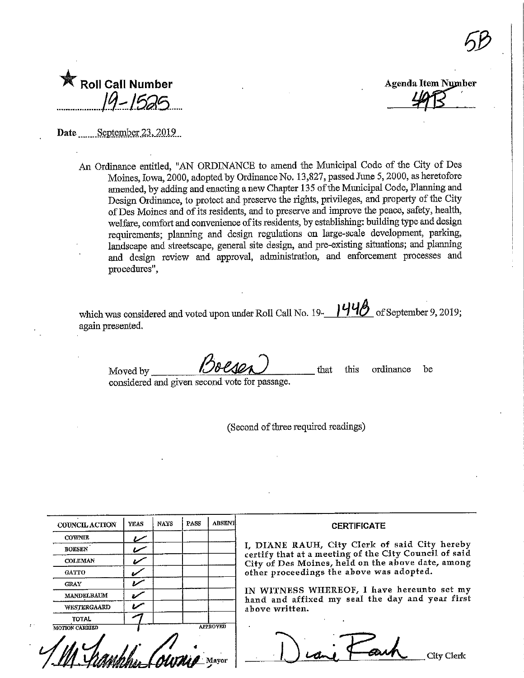| K Roll Call Number<br>19-1525 |
|-------------------------------|
|                               |

Agenda Item Number

Date September 23, 2019

An Ordmance entitled, "AN ORDINANCE to amend the Municipal Code of the City of Des Moines, Iowa, 2000, adopted by Ordinance No. 13,827, passed June 5,2000, as heretofore amended, by adding and enacting a new Chapter 135 of the Municipal Code, Planning and Design Qrdmaace, to protect and preserve the rights, privileges, and property of the City of Des Moines and of its residents, and to preserve and improve the peace, safety, health^ welfare, comfort and convenience of its residents, by establishing: building type and design requirements; plammig and design regulations on large-scale development, parking, landscape and streetscape, general site design, and pre-existing situations; and planning and design review and approval, administration, and enforcement processes and procedures",

which was considered and voted upon under Roll Call No. 19- $\frac{1448}{}$  of September 9, 2019; again presented.

Moved by considered and given second vote for passage. that this ordinance be

(Second of three required readings)

| <b>COUNCIL ACTION</b> | YEAS | NAYS | PASS | <b>ABSENT</b>   | <b>CERTIFICATE</b>                                                                                     |
|-----------------------|------|------|------|-----------------|--------------------------------------------------------------------------------------------------------|
| <b>COWNIE</b>         |      |      |      |                 |                                                                                                        |
| <b>BOESEN</b>         |      |      |      |                 | I, DIANE RAUH, City Clerk of said City hereby<br>certify that at a meeting of the City Council of said |
| <b>COLEMAN</b>        | مرو  |      |      |                 | City of Des Moines, held on the above date, among<br>other proceedings the above was adopted.          |
| GATTO                 |      |      |      |                 |                                                                                                        |
| <b>GRAY</b>           | سمرد |      |      |                 |                                                                                                        |
| <b>MANDELBAUM</b>     |      |      |      |                 | IN WITNESS WHEREOF, I have hereunto set my<br>hand and affixed my seal the day and year first          |
| WESTERCAARD           | سمرد |      |      |                 | above written.                                                                                         |
| <b>TOTAL</b>          |      |      |      |                 |                                                                                                        |
| <b>MOTION CARRIED</b> |      |      |      | <b>APPROVED</b> |                                                                                                        |
|                       |      |      |      |                 | City Clerk                                                                                             |

 $5B$